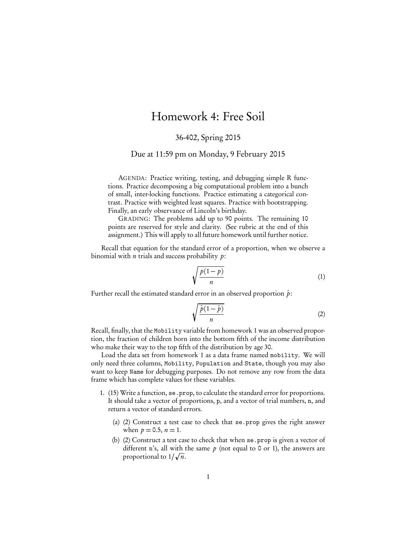## Homework 4: Free Soil

36-402, Spring 2015

Due at 11:59 pm on Monday, 9 February 2015

AGENDA: Practice writing, testing, and debugging simple R functions. Practice decomposing a big computational problem into a bunch of small, inter-locking functions. Practice estimating a categorical contrast. Practice with weighted least squares. Practice with bootstrapping. Finally, an early observance of Lincoln's birthday.

GRADING: The problems add up to 90 points. The remaining 10 points are reserved for style and clarity. (See rubric at the end of this assignment.) This will apply to all future homework until further notice.

Recall that equation for the standard error of a proportion, when we observe a binomial with *n* trials and success probability  $p$ :

$$
\sqrt{\frac{p(1-p)}{n}}\tag{1}
$$

Further recall the estimated standard error in an observed proportion  $\hat{p}$ :

 $\overline{\mathcal{L}}$ 

$$
\sqrt{\frac{\hat{p}(1-\hat{p})}{n}}\tag{2}
$$

Recall, finally, that the Mobility variable from homework 1 was an observed proportion, the fraction of children born into the bottom fifth of the income distribution who make their way to the top fifth of the distribution by age 30.

Load the data set from homework 1 as a data frame named mobility. We will only need three columns, Mobility, Population and State, though you may also want to keep Name for debugging purposes. Do not remove any row from the data frame which has complete values for these variables.

- 1. (15) Write a function, se.prop, to calculate the standard error for proportions. It should take a vector of proportions, p, and a vector of trial numbers, n, and return a vector of standard errors.
	- (a) (2) Construct a test case to check that se.prop gives the right answer when  $p = 0.5$ ,  $n = 1$ .
	- (b) (2) Construct a test case to check that when se.prop is given a vector of different n's, all with the same  $p$  (not equal to 0 or 1), the answers are proportional to  $1/\sqrt{n}$ .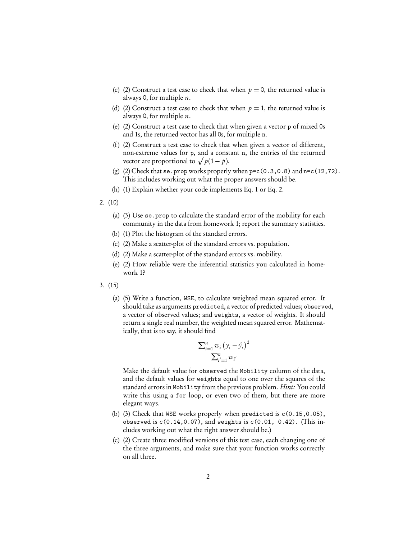- (c) (2) Construct a test case to check that when  $p = 0$ , the returned value is always 0, for multiple  $n$ .
- (d) (2) Construct a test case to check that when  $p = 1$ , the returned value is always 0, for multiple  $n$ .
- (e) (2) Construct a test case to check that when given a vector p of mixed 0s and 1s, the returned vector has all 0s, for multiple n.
- (f) (2) Construct a test case to check that when given a vector of different, non-extreme values for p, and a constant n, the entries of the returned vector are proportional to  $\sqrt{p(1-p)}$ .
- (g) (2) Check that  $se.$  prop works properly when  $pec(0.3,0.8)$  and  $n = c(12,72)$ . This includes working out what the proper answers should be.
- (h) (1) Explain whether your code implements Eq. 1 or Eq. 2.
- 2. (10)
	- (a) (3) Use se.prop to calculate the standard error of the mobility for each community in the data from homework 1; report the summary statistics.
	- (b) (1) Plot the histogram of the standard errors.
	- (c) (2) Make a scatter-plot of the standard errors vs. population.
	- (d) (2) Make a scatter-plot of the standard errors vs. mobility.
	- (e) (2) How reliable were the inferential statistics you calculated in homework 1?
- 3. (15)
	- (a) (5) Write a function, WSE, to calculate weighted mean squared error. It should take as arguments predicted, a vector of predicted values; observed, a vector of observed values; and weights, a vector of weights. It should return a single real number, the weighted mean squared error. Mathematically, that is to say, it should find

$$
\frac{\sum_{i=1}^{n} w_i (y_i - \hat{y}_i)^2}{\sum_{i'=1}^{n} w_{i'}}
$$

Make the default value for observed the Mobility column of the data, and the default values for weights equal to one over the squares of the standard errors in Mobility from the previous problem. Hint: You could write this using a for loop, or even two of them, but there are more elegant ways.

- (b) (3) Check that WSE works properly when predicted is c(0.15,0.05), observed is  $c(0.14, 0.07)$ , and weights is  $c(0.01, 0.42)$ . (This includes working out what the right answer should be.)
- (c) (2) Create three modified versions of this test case, each changing one of the three arguments, and make sure that your function works correctly on all three.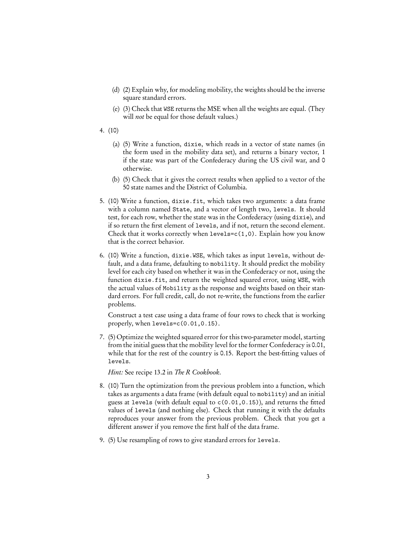- (d) (2) Explain why, for modeling mobility, the weights should be the inverse square standard errors.
- (e) (3) Check that WSE returns the MSE when all the weights are equal. (They will *not* be equal for those default values.)
- 4. (10)
	- (a) (5) Write a function, dixie, which reads in a vector of state names (in the form used in the mobility data set), and returns a binary vector, 1 if the state was part of the Confederacy during the US civil war, and 0 otherwise.
	- (b) (5) Check that it gives the correct results when applied to a vector of the 50 state names and the District of Columbia.
- 5. (10) Write a function, dixie.fit, which takes two arguments: a data frame with a column named State, and a vector of length two, levels. It should test, for each row, whether the state was in the Confederacy (using dixie), and if so return the first element of levels, and if not, return the second element. Check that it works correctly when  $levels=c(1,0)$ . Explain how you know that is the correct behavior.
- 6. (10) Write a function, dixie.WSE, which takes as input levels, without default, and a data frame, defaulting to mobility. It should predict the mobility level for each city based on whether it was in the Confederacy or not, using the function dixie.fit, and return the weighted squared error, using WSE, with the actual values of Mobility as the response and weights based on their standard errors. For full credit, call, do not re-write, the functions from the earlier problems.

Construct a test case using a data frame of four rows to check that is working properly, when levels=c(0.01,0.15).

7. (5) Optimize the weighted squared error for this two-parameter model, starting from the initial guess that the mobility level for the former Confederacy is 0.01, while that for the rest of the country is 0.15. Report the best-fitting values of levels.

Hint: See recipe 13.2 in The R Cookbook.

- 8. (10) Turn the optimization from the previous problem into a function, which takes as arguments a data frame (with default equal to mobility) and an initial guess at levels (with default equal to c(0.01,0.15)), and returns the fitted values of levels (and nothing else). Check that running it with the defaults reproduces your answer from the previous problem. Check that you get a different answer if you remove the first half of the data frame.
- 9. (5) Use resampling of rows to give standard errors for levels.